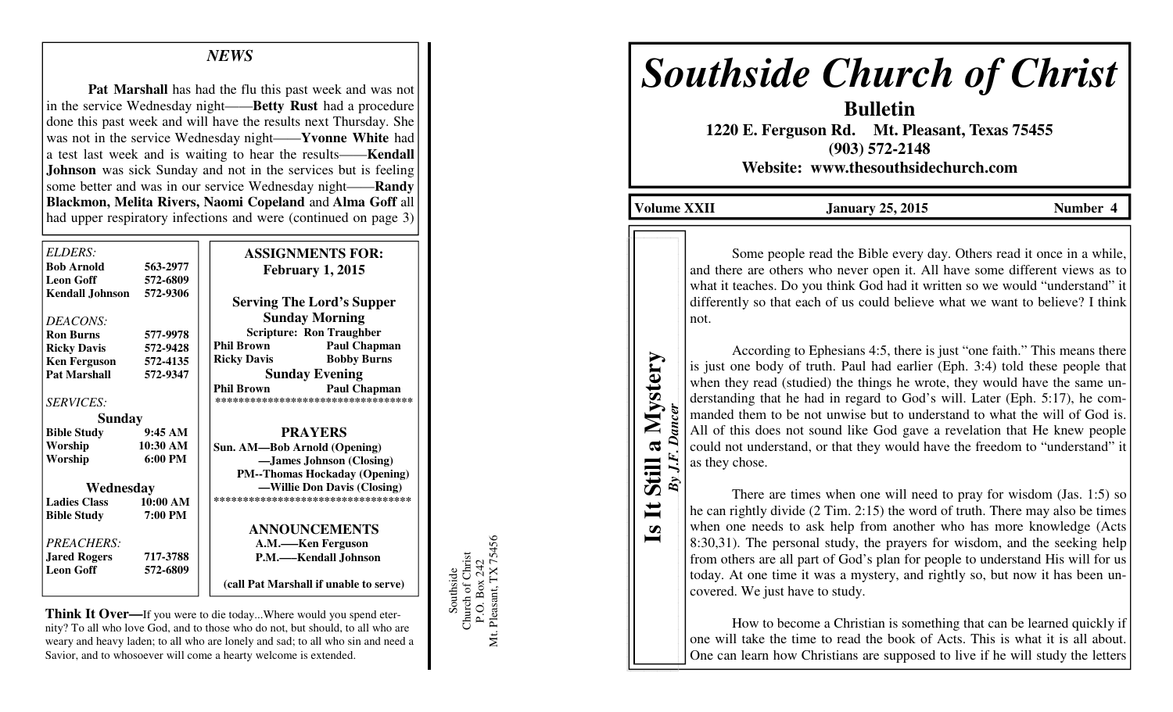## *NEWS*

**Pat Marshall** has had the flu this past week and was not in the service Wednesday night——**Betty Rust** had a procedure done this past week and will have the results next Thursday. She was not in the service Wednesday night——**Yvonne White** had a test last week and is waiting to hear the results——**Kendall Johnson** was sick Sunday and not in the services but is feeling some better and was in our service Wednesday night——**Randy Blackmon, Melita Rivers, Naomi Copeland** and **Alma Goff** all had upper respiratory infections and were (continued on page 3)

| ELDERS:                |                   | <b>ASSIGNMENTS FOR:</b>                  |
|------------------------|-------------------|------------------------------------------|
| <b>Bob Arnold</b>      | 563-2977          | <b>February 1, 2015</b>                  |
| <b>Leon Goff</b>       | 572-6809          |                                          |
| <b>Kendall Johnson</b> | 572-9306          | <b>Serving The Lord's Supper</b>         |
| DEACONS:               |                   | <b>Sunday Morning</b>                    |
| <b>Ron Burns</b>       | 577-9978          | <b>Scripture: Ron Traughber</b>          |
| <b>Ricky Davis</b>     | 572-9428          | <b>Phil Brown</b><br><b>Paul Chapman</b> |
| <b>Ken Ferguson</b>    | 572-4135          | <b>Bobby Burns</b><br><b>Ricky Davis</b> |
| <b>Pat Marshall</b>    | 572-9347          | <b>Sunday Evening</b>                    |
|                        |                   | <b>Phil Brown</b><br><b>Paul Chapman</b> |
| <i>SERVICES:</i>       |                   | *********************************        |
| Sunday                 |                   |                                          |
| <b>Bible Study</b>     | $9:45 \text{ AM}$ | <b>PRAYERS</b>                           |
| Worship                | 10:30 AM          | Sun. AM-Bob Arnold (Opening)             |
| Worship                | $6:00 \text{ PM}$ | -James Johnson (Closing)                 |
|                        |                   | <b>PM--Thomas Hockaday (Opening)</b>     |
| Wednesday              |                   | -Willie Don Davis (Closing)              |
| <b>Ladies Class</b>    | 10:00 AM          | ***********************************      |
| <b>Bible Study</b>     | 7:00 PM           |                                          |
|                        |                   | <b>ANNOUNCEMENTS</b>                     |
| PREACHERS:             |                   | A.M.—–Ken Ferguson                       |
| <b>Jared Rogers</b>    | 717-3788          | P.M.-Kendall Johnson                     |
| <b>Leon Goff</b>       | 572-6809          |                                          |
|                        |                   | (call Pat Marshall if unable to serve)   |

**Think It Over—**If you were to die today...Where would you spend eternity? To all who love God, and to those who do not, but should, to all who are weary and heavy laden; to all who are lonely and sad; to all who sin and need a Savior, and to whosoever will come a hearty welcome is extended.

Southside<br>Church of Christ<br>P.O. Box 242<br>Mt. Pleasant, TX 75456 Mt. Pleasant, TX 75456 Church of Christ P.O. Box 242 Southside

## *Southside Church of Christ*

**Bulletin 1220 E. Ferguson Rd. Mt. Pleasant, Texas 75455 (903) 572-2148 Website: www.thesouthsidechurch.com** 

**Volume XXII January 25, 2015 Number 4** 

**Is It Still a Mystery**  *By J.F. Dancer* 

 $\mathbf{I}$  $\boldsymbol{\omega}$ 

一

 $By J.F.$ 

Still a Mystery

Some people read the Bible every day. Others read it once in a while, and there are others who never open it. All have some different views as to what it teaches. Do you think God had it written so we would "understand" it differently so that each of us could believe what we want to believe? I think not.

 According to Ephesians 4:5, there is just "one faith." This means there is just one body of truth. Paul had earlier (Eph. 3:4) told these people that when they read (studied) the things he wrote, they would have the same understanding that he had in regard to God's will. Later (Eph. 5:17), he commanded them to be not unwise but to understand to what the will of God is. All of this does not sound like God gave a revelation that He knew people could not understand, or that they would have the freedom to "understand" it as they chose.

 There are times when one will need to pray for wisdom (Jas. 1:5) so he can rightly divide (2 Tim. 2:15) the word of truth. There may also be times when one needs to ask help from another who has more knowledge (Acts 8:30,31). The personal study, the prayers for wisdom, and the seeking help from others are all part of God's plan for people to understand His will for us today. At one time it was a mystery, and rightly so, but now it has been uncovered. We just have to study.

 How to become a Christian is something that can be learned quickly if one will take the time to read the book of Acts. This is what it is all about. One can learn how Christians are supposed to live if he will study the letters